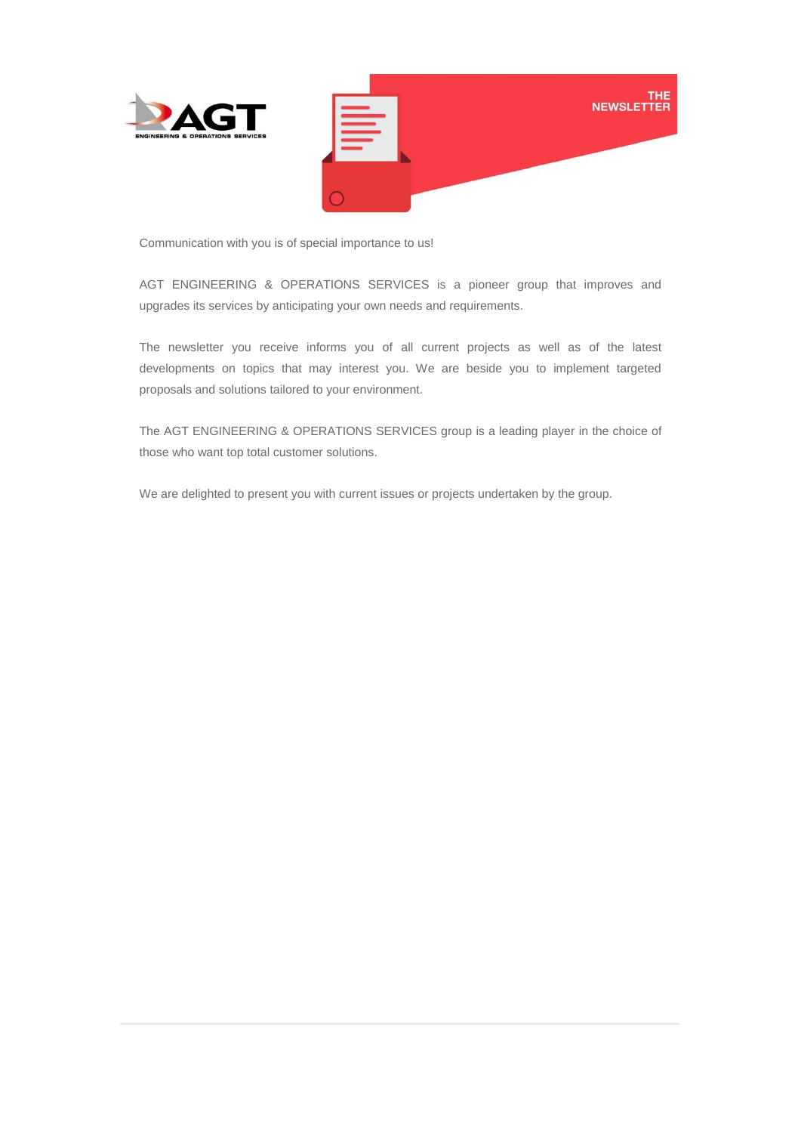

Communication with you is of special importance to us!

AGT ENGINEERING & OPERATIONS SERVICES is a pioneer group that improves and upgrades its services by anticipating your own needs and requirements.

The newsletter you receive informs you of all current projects as well as of the latest developments on topics that may interest you. We are beside you to implement targeted proposals and solutions tailored to your environment.

The AGT ENGINEERING & OPERATIONS SERVICES group is a leading player in the choice of those who want top total customer solutions.

We are delighted to present you with current issues or projects undertaken by the group.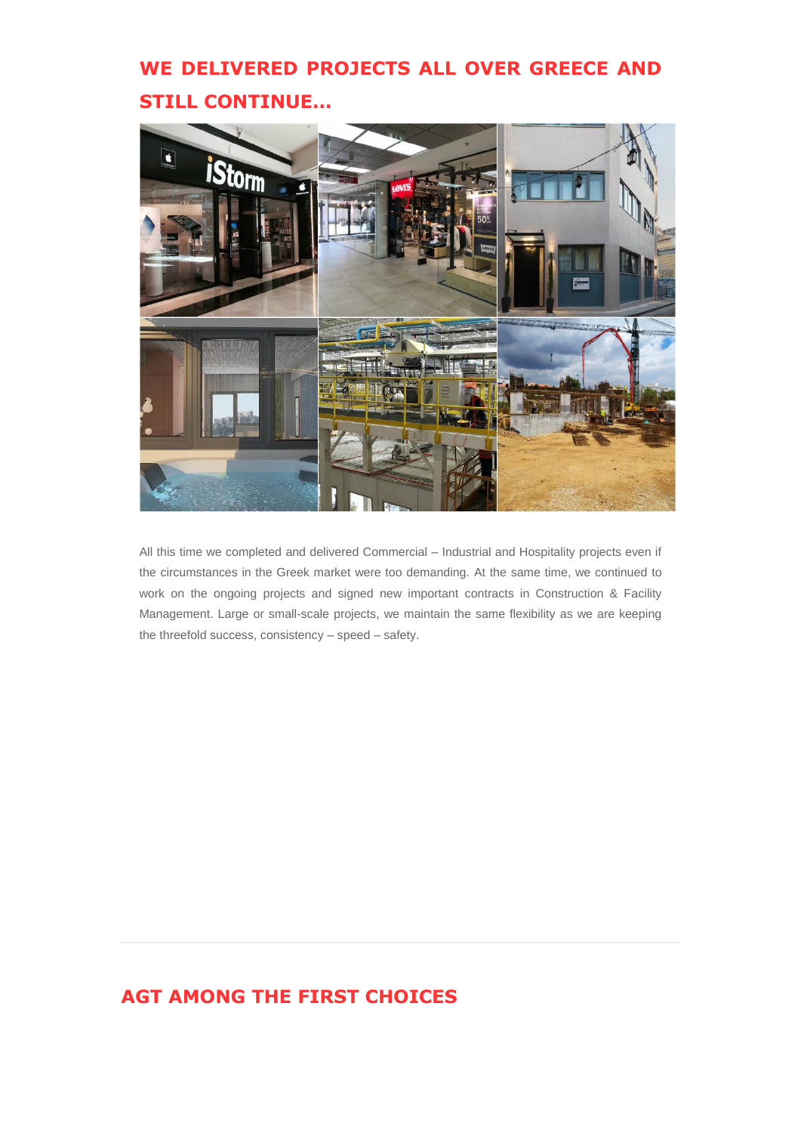# **WE DELIVERED PROJECTS ALL OVER GREECE AND STILL CONTINUE…**



All this time we completed and delivered Commercial – Industrial and Hospitality projects even if the circumstances in the Greek market were too demanding. At the same time, we continued to work on the ongoing projects and signed new important contracts in Construction & Facility Management. Large or small-scale projects, we maintain the same flexibility as we are keeping the threefold success, consistency – speed – safety.

## **AGT AMONG THE FIRST CHOICES**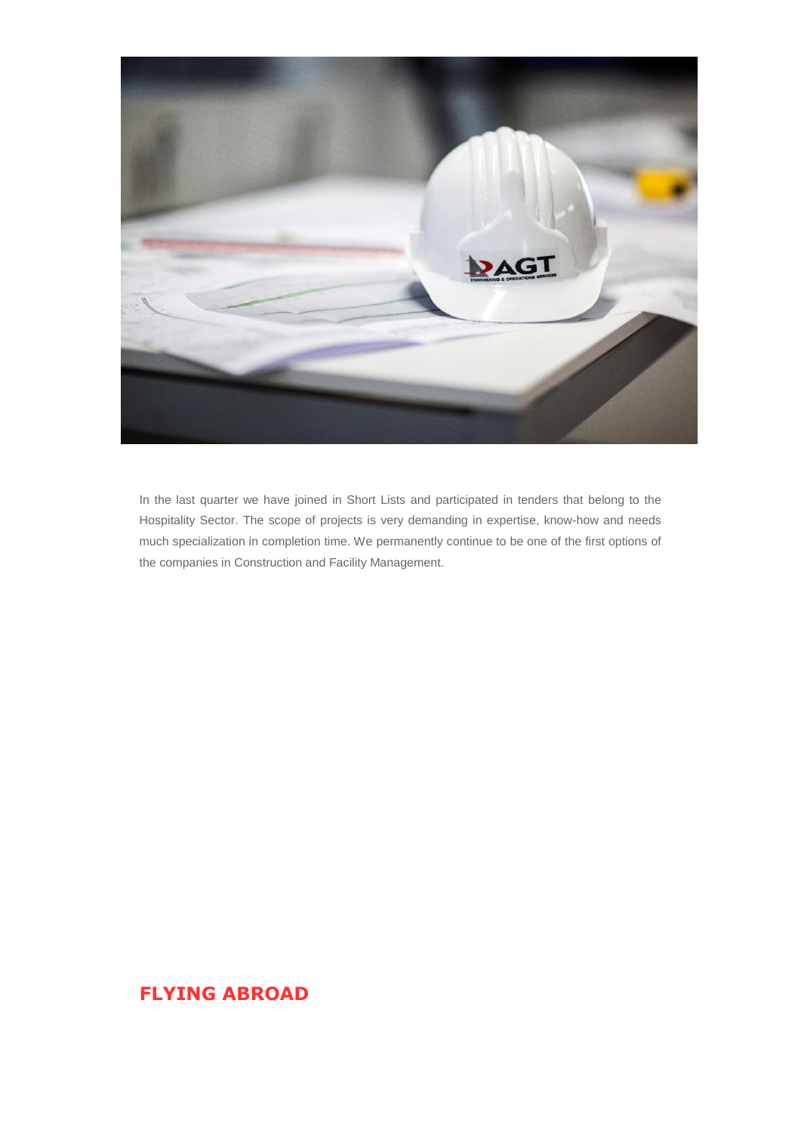

In the last quarter we have joined in Short Lists and participated in tenders that belong to the Hospitality Sector. The scope of projects is very demanding in expertise, know-how and needs much specialization in completion time. We permanently continue to be one of the first options of the companies in Construction and Facility Management.

### **FLYING ABROAD**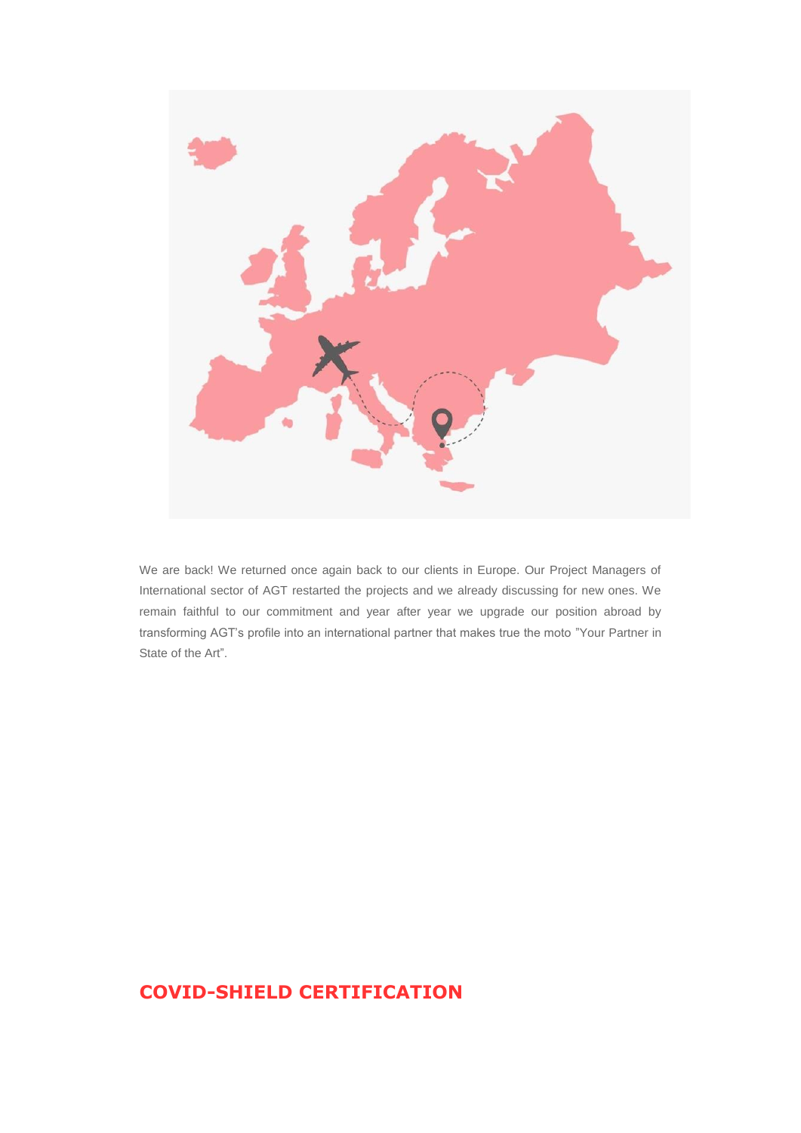

We are back! We returned once again back to our clients in Europe. Our Project Managers of International sector of AGT restarted the projects and we already discussing for new ones. We remain faithful to our commitment and year after year we upgrade our position abroad by transforming AGT's profile into an international partner that makes true the moto "Your Partner in State of the Art".

### **COVID-SHIELD CERTIFICATION**